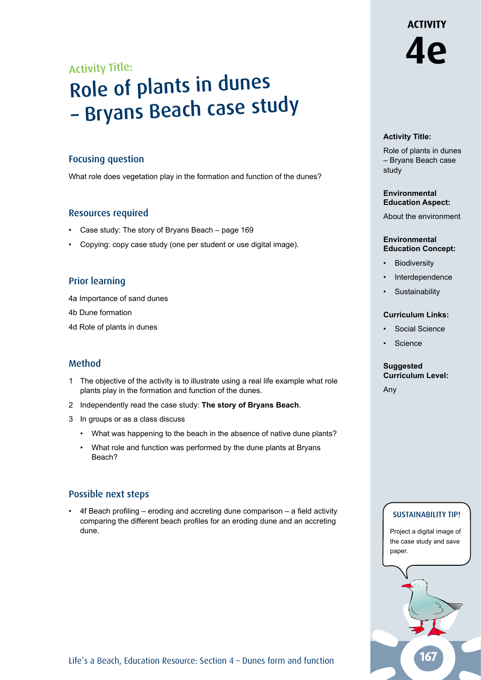# **ACTIVITY 4e**

## Activity Title:

# Role of plants in dunes – Bryans Beach case study

#### Focusing question

What role does vegetation play in the formation and function of the dunes?

#### Resources required

- Case study: The story of Bryans Beach page 169
- Copying: copy case study (one per student or use digital image).

#### Prior learning

4a Importance of sand dunes

4b Dune formation

4d Role of plants in dunes

### Method

- 1 The objective of the activity is to illustrate using a real life example what role plants play in the formation and function of the dunes.
- 2 Independently read the case study: **The story of Bryans Beach**.
- 3 In groups or as a class discuss
	- What was happening to the beach in the absence of native dune plants?
	- What role and function was performed by the dune plants at Bryans Beach?

#### Possible next steps

• 4f Beach profiling – eroding and accreting dune comparison – a field activity comparing the different beach profiles for an eroding dune and an accreting dune.

#### **Activity Title:**

Role of plants in dunes – Bryans Beach case study

#### **Environmental Education Aspect:**

About the environment

#### **Environmental Education Concept:**

- **Biodiversity**
- **Interdependence**
- **Sustainability**

#### **Curriculum Links:**

- Social Science
- Science

#### **Suggested Curriculum Level:**

Any

#### SUSTAINABILITY TIP!

Project a digital image of the case study and save paper.